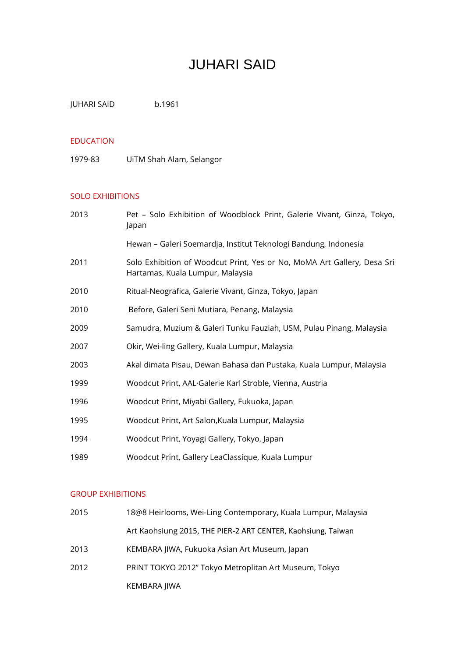# JUHARI SAID

JUHARI SAID b.1961

#### EDUCATION

1979-83 UiTM Shah Alam, Selangor

## SOLO EXHIBITIONS

| 2013 | Pet - Solo Exhibition of Woodblock Print, Galerie Vivant, Ginza, Tokyo,<br>Japan                            |
|------|-------------------------------------------------------------------------------------------------------------|
|      | Hewan - Galeri Soemardja, Institut Teknologi Bandung, Indonesia                                             |
| 2011 | Solo Exhibition of Woodcut Print, Yes or No, MoMA Art Gallery, Desa Sri<br>Hartamas, Kuala Lumpur, Malaysia |
| 2010 | Ritual-Neografica, Galerie Vivant, Ginza, Tokyo, Japan                                                      |
| 2010 | Before, Galeri Seni Mutiara, Penang, Malaysia                                                               |
| 2009 | Samudra, Muzium & Galeri Tunku Fauziah, USM, Pulau Pinang, Malaysia                                         |
| 2007 | Okir, Wei-ling Gallery, Kuala Lumpur, Malaysia                                                              |
| 2003 | Akal dimata Pisau, Dewan Bahasa dan Pustaka, Kuala Lumpur, Malaysia                                         |
| 1999 | Woodcut Print, AAL Galerie Karl Stroble, Vienna, Austria                                                    |
| 1996 | Woodcut Print, Miyabi Gallery, Fukuoka, Japan                                                               |
| 1995 | Woodcut Print, Art Salon, Kuala Lumpur, Malaysia                                                            |
| 1994 | Woodcut Print, Yoyagi Gallery, Tokyo, Japan                                                                 |
| 1989 | Woodcut Print, Gallery LeaClassique, Kuala Lumpur                                                           |

## GROUP EXHIBITIONS

| 2015 | 18@8 Heirlooms, Wei-Ling Contemporary, Kuala Lumpur, Malaysia |
|------|---------------------------------------------------------------|
|      | Art Kaohsiung 2015, THE PIER-2 ART CENTER, Kaohsiung, Taiwan  |
| 2013 | KEMBARA JIWA, Fukuoka Asian Art Museum, Japan                 |
| 2012 | PRINT TOKYO 2012" Tokyo Metroplitan Art Museum, Tokyo         |
|      | KEMBARA JIWA                                                  |
|      |                                                               |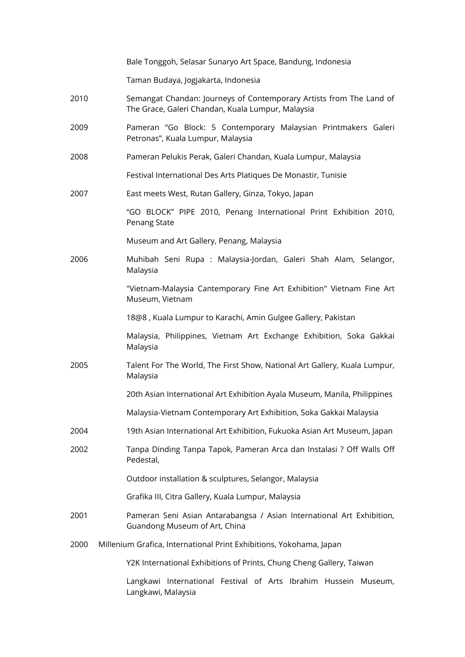|      | Bale Tonggoh, Selasar Sunaryo Art Space, Bandung, Indonesia                                                              |
|------|--------------------------------------------------------------------------------------------------------------------------|
|      | Taman Budaya, Jogjakarta, Indonesia                                                                                      |
| 2010 | Semangat Chandan: Journeys of Contemporary Artists from The Land of<br>The Grace, Galeri Chandan, Kuala Lumpur, Malaysia |
| 2009 | Pameran "Go Block: 5 Contemporary Malaysian Printmakers Galeri<br>Petronas", Kuala Lumpur, Malaysia                      |
| 2008 | Pameran Pelukis Perak, Galeri Chandan, Kuala Lumpur, Malaysia                                                            |
|      | Festival International Des Arts Platiques De Monastir, Tunisie                                                           |
| 2007 | East meets West, Rutan Gallery, Ginza, Tokyo, Japan                                                                      |
|      | "GO BLOCK" PIPE 2010, Penang International Print Exhibition 2010,<br>Penang State                                        |
|      | Museum and Art Gallery, Penang, Malaysia                                                                                 |
| 2006 | Muhibah Seni Rupa : Malaysia-Jordan, Galeri Shah Alam, Selangor,<br>Malaysia                                             |
|      | "Vietnam-Malaysia Cantemporary Fine Art Exhibition" Vietnam Fine Art<br>Museum, Vietnam                                  |
|      | 18@8, Kuala Lumpur to Karachi, Amin Gulgee Gallery, Pakistan                                                             |
|      | Malaysia, Philippines, Vietnam Art Exchange Exhibition, Soka Gakkai<br>Malaysia                                          |
| 2005 | Talent For The World, The First Show, National Art Gallery, Kuala Lumpur,<br>Malaysia                                    |
|      | 20th Asian International Art Exhibition Ayala Museum, Manila, Philippines                                                |
|      | Malaysia-Vietnam Contemporary Art Exhibition, Soka Gakkai Malaysia                                                       |
| 2004 | 19th Asian International Art Exhibition, Fukuoka Asian Art Museum, Japan                                                 |
| 2002 | Tanpa Dinding Tanpa Tapok, Pameran Arca dan Instalasi ? Off Walls Off<br>Pedestal,                                       |
|      | Outdoor installation & sculptures, Selangor, Malaysia                                                                    |
|      | Grafika III, Citra Gallery, Kuala Lumpur, Malaysia                                                                       |
| 2001 | Pameran Seni Asian Antarabangsa / Asian International Art Exhibition,<br>Guandong Museum of Art, China                   |
| 2000 | Millenium Grafica, International Print Exhibitions, Yokohama, Japan                                                      |
|      | Y2K International Exhibitions of Prints, Chung Cheng Gallery, Taiwan                                                     |
|      | Langkawi International Festival of Arts Ibrahim Hussein Museum,                                                          |

Langkawi, Malaysia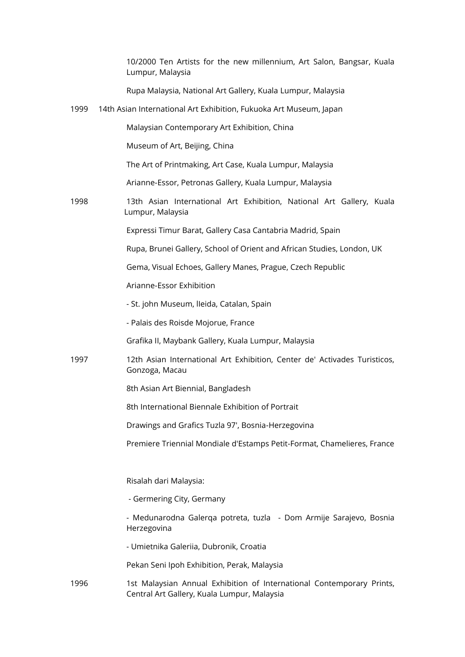10/2000 Ten Artists for the new millennium, Art Salon, Bangsar, Kuala Lumpur, Malaysia

Rupa Malaysia, National Art Gallery, Kuala Lumpur, Malaysia

1999 14th Asian International Art Exhibition, Fukuoka Art Museum, Japan

Malaysian Contemporary Art Exhibition, China

Museum of Art, Beijing, China

The Art of Printmaking, Art Case, Kuala Lumpur, Malaysia

Arianne-Essor, Petronas Gallery, Kuala Lumpur, Malaysia

1998 13th Asian International Art Exhibition, National Art Gallery, Kuala Lumpur, Malaysia

Expressi Timur Barat, Gallery Casa Cantabria Madrid, Spain

Rupa, Brunei Gallery, School of Orient and African Studies, London, UK

Gema, Visual Echoes, Gallery Manes, Prague, Czech Republic

Arianne-Essor Exhibition

- St. john Museum, lIeida, Catalan, Spain
- Palais des Roisde Mojorue, France

Grafika II, Maybank Gallery, Kuala Lumpur, Malaysia

- 1997 12th Asian International Art Exhibition, Center de' Activades Turisticos, Gonzoga, Macau
	- 8th Asian Art Biennial, Bangladesh
	- 8th International Biennale Exhibition of Portrait

Drawings and Grafics Tuzla 97', Bosnia-Herzegovina

Premiere Triennial Mondiale d'Estamps Petit-Format, Chamelieres, France

Risalah dari Malaysia:

- Germering City, Germany
- Medunarodna Galerqa potreta, tuzla Dom Armije Sarajevo, Bosnia Herzegovina
- Umietnika Galeriia, Dubronik, Croatia

Pekan Seni Ipoh Exhibition, Perak, Malaysia

1996 1st Malaysian Annual Exhibition of International Contemporary Prints, Central Art Gallery, Kuala Lumpur, Malaysia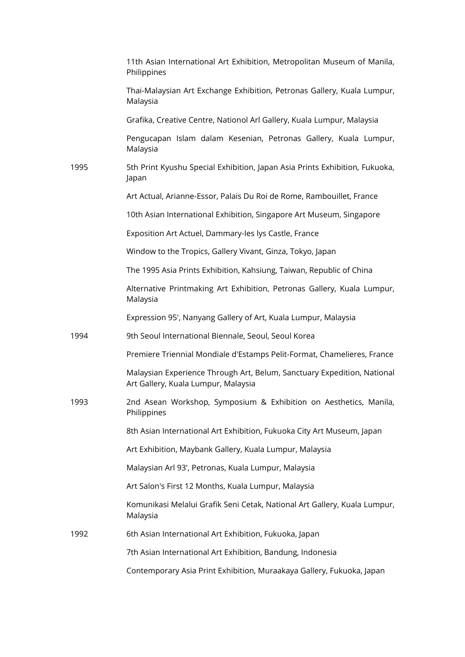|      | 11th Asian International Art Exhibition, Metropolitan Museum of Manila,<br>Philippines                         |
|------|----------------------------------------------------------------------------------------------------------------|
|      | Thai-Malaysian Art Exchange Exhibition, Petronas Gallery, Kuala Lumpur,<br>Malaysia                            |
|      | Grafika, Creative Centre, Nationol Arl Gallery, Kuala Lumpur, Malaysia                                         |
|      | Pengucapan Islam dalam Kesenian, Petronas Gallery, Kuala Lumpur,<br>Malaysia                                   |
| 1995 | 5th Print Kyushu Special Exhibition, Japan Asia Prints Exhibition, Fukuoka,<br>Japan                           |
|      | Art Actual, Arianne-Essor, Palais Du Roi de Rome, Rambouillet, France                                          |
|      | 10th Asian International Exhibition, Singapore Art Museum, Singapore                                           |
|      | Exposition Art Actuel, Dammary-les lys Castle, France                                                          |
|      | Window to the Tropics, Gallery Vivant, Ginza, Tokyo, Japan                                                     |
|      | The 1995 Asia Prints Exhibition, Kahsiung, Taiwan, Republic of China                                           |
|      | Alternative Printmaking Art Exhibition, Petronas Gallery, Kuala Lumpur,<br>Malaysia                            |
|      | Expression 95', Nanyang Gallery of Art, Kuala Lumpur, Malaysia                                                 |
| 1994 | 9th Seoul International Biennale, Seoul, Seoul Korea                                                           |
|      | Premiere Triennial Mondiale d'Estamps Pelit-Format, Chamelieres, France                                        |
|      | Malaysian Experience Through Art, Belum, Sanctuary Expedition, National<br>Art Gallery, Kuala Lumpur, Malaysia |
| 1993 | 2nd Asean Workshop, Symposium & Exhibition on Aesthetics, Manila,<br>Philippines                               |
|      | 8th Asian International Art Exhibition, Fukuoka City Art Museum, Japan                                         |
|      | Art Exhibition, Maybank Gallery, Kuala Lumpur, Malaysia                                                        |
|      | Malaysian Arl 93', Petronas, Kuala Lumpur, Malaysia                                                            |
|      | Art Salon's First 12 Months, Kuala Lumpur, Malaysia                                                            |
|      | Komunikasi Melalui Grafik Seni Cetak, National Art Gallery, Kuala Lumpur,<br>Malaysia                          |
| 1992 | 6th Asian International Art Exhibition, Fukuoka, Japan                                                         |
|      | 7th Asian International Art Exhibition, Bandung, Indonesia                                                     |
|      | Contemporary Asia Print Exhibition, Muraakaya Gallery, Fukuoka, Japan                                          |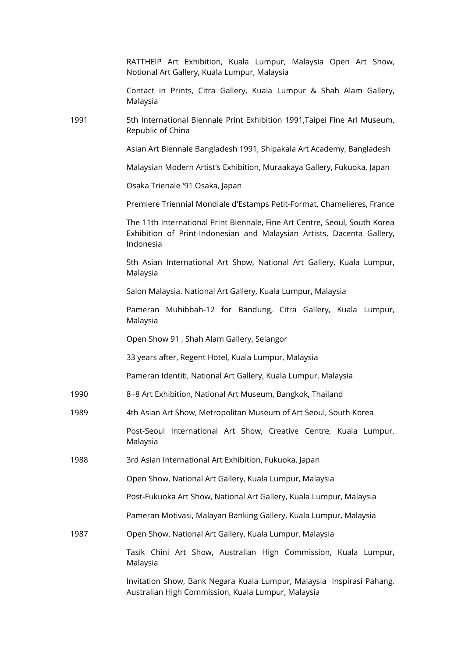|      | RATTHEIP Art Exhibition, Kuala Lumpur, Malaysia Open Art Show,<br>Notional Art Gallery, Kuala Lumpur, Malaysia                                                    |
|------|-------------------------------------------------------------------------------------------------------------------------------------------------------------------|
|      | Contact in Prints, Citra Gallery, Kuala Lumpur & Shah Alam Gallery,<br>Malaysia                                                                                   |
| 1991 | 5th International Biennale Print Exhibition 1991, Taipei Fine Arl Museum,<br>Republic of China                                                                    |
|      | Asian Art Biennale Bangladesh 1991, Shipakala Art Academy, Bangladesh                                                                                             |
|      | Malaysian Modern Artist's Exhibition, Muraakaya Gallery, Fukuoka, Japan                                                                                           |
|      | Osaka Trienale '91 Osaka, Japan                                                                                                                                   |
|      | Premiere Triennial Mondiale d'Estamps Petit-Format, Chamelieres, France                                                                                           |
|      | The 11th International Print Biennale, Fine Art Centre, Seoul, South Korea<br>Exhibition of Print-Indonesian and Malaysian Artists, Dacenta Gallery,<br>Indonesia |
|      | 5th Asian International Art Show, National Art Gallery, Kuala Lumpur,<br>Malaysia                                                                                 |
|      | Salon Malaysia. National Art Gallery, Kuala Lumpur, Malaysia                                                                                                      |
|      | Muhibbah-12 for Bandung, Citra Gallery, Kuala Lumpur,<br>Pameran<br>Malaysia                                                                                      |
|      | Open Show 91, Shah Alam Gallery, Selangor                                                                                                                         |
|      | 33 years after, Regent Hotel, Kuala Lumpur, Malaysia                                                                                                              |
|      | Pameran Identiti, National Art Gallery, Kuala Lumpur, Malaysia                                                                                                    |
| 1990 | 8+8 Art Exhibition, National Art Museum, Bangkok, Thailand                                                                                                        |
| 1989 | 4th Asian Art Show, Metropolitan Museum of Art Seoul, South Korea                                                                                                 |
|      | Post-Seoul International Art Show, Creative Centre, Kuala Lumpur,<br>Malaysia                                                                                     |
| 1988 | 3rd Asian International Art Exhibition, Fukuoka, Japan                                                                                                            |
|      | Open Show, National Art Gallery, Kuala Lumpur, Malaysia                                                                                                           |
|      | Post-Fukuoka Art Show, National Art Gallery, Kuala Lumpur, Malaysia                                                                                               |
|      | Pameran Motivasi, Malayan Banking Gallery, Kuala Lumpur, Malaysia                                                                                                 |
| 1987 | Open Show, National Art Gallery, Kuala Lumpur, Malaysia                                                                                                           |
|      | Tasik Chini Art Show, Australian High Commission, Kuala Lumpur,<br>Malaysia                                                                                       |
|      | Invitation Show, Bank Negara Kuala Lumpur, Malaysia Inspirasi Pahang,<br>Australian High Commission, Kuala Lumpur, Malaysia                                       |